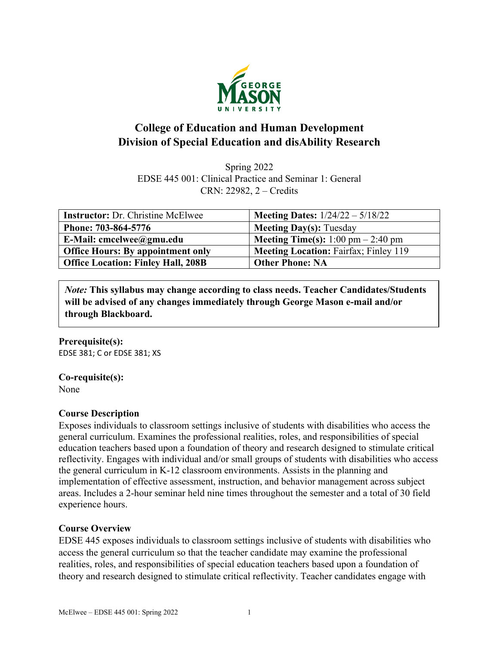

# **College of Education and Human Development Division of Special Education and disAbility Research**

Spring 2022 EDSE 445 001: Clinical Practice and Seminar 1: General CRN: 22982, 2 – Credits

| <b>Instructor:</b> Dr. Christine McElwee  | <b>Meeting Dates:</b> $1/24/22 - 5/18/22$    |
|-------------------------------------------|----------------------------------------------|
| Phone: 703-864-5776                       | <b>Meeting Day(s): Tuesday</b>               |
| E-Mail: cmcelwee@gmu.edu                  | <b>Meeting Time(s):</b> 1:00 pm $- 2:40$ pm  |
| <b>Office Hours: By appointment only</b>  | <b>Meeting Location: Fairfax; Finley 119</b> |
| <b>Office Location: Finley Hall, 208B</b> | <b>Other Phone: NA</b>                       |

*Note:* **This syllabus may change according to class needs. Teacher Candidates/Students will be advised of any changes immediately through George Mason e-mail and/or through Blackboard.**

#### **Prerequisite(s):**

EDSE 381; C or EDSE 381; XS

#### **Co-requisite(s):**

None

#### **Course Description**

Exposes individuals to classroom settings inclusive of students with disabilities who access the general curriculum. Examines the professional realities, roles, and responsibilities of special education teachers based upon a foundation of theory and research designed to stimulate critical reflectivity. Engages with individual and/or small groups of students with disabilities who access the general curriculum in K-12 classroom environments. Assists in the planning and implementation of effective assessment, instruction, and behavior management across subject areas. Includes a 2-hour seminar held nine times throughout the semester and a total of 30 field experience hours.

#### **Course Overview**

EDSE 445 exposes individuals to classroom settings inclusive of students with disabilities who access the general curriculum so that the teacher candidate may examine the professional realities, roles, and responsibilities of special education teachers based upon a foundation of theory and research designed to stimulate critical reflectivity. Teacher candidates engage with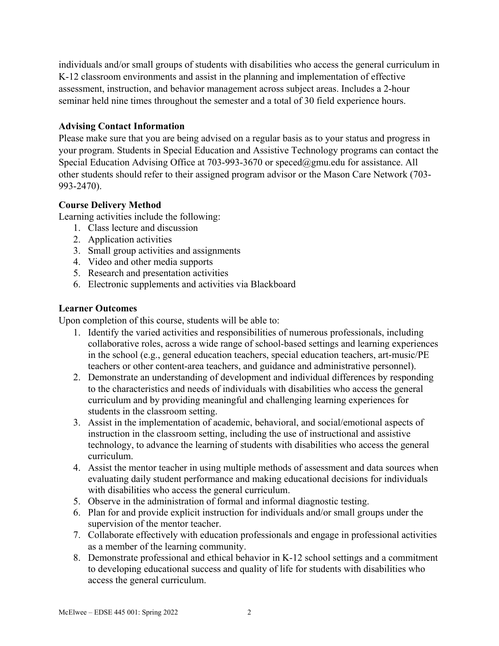individuals and/or small groups of students with disabilities who access the general curriculum in K-12 classroom environments and assist in the planning and implementation of effective assessment, instruction, and behavior management across subject areas. Includes a 2-hour seminar held nine times throughout the semester and a total of 30 field experience hours.

### **Advising Contact Information**

Please make sure that you are being advised on a regular basis as to your status and progress in your program. Students in Special Education and Assistive Technology programs can contact the Special Education Advising Office at 703-993-3670 or [speced@gmu.edu](mailto:speced@gmu.edu) for assistance. All other students should refer to their assigned program advisor or the Mason Care Network (703- 993-2470).

## **Course Delivery Method**

Learning activities include the following:

- 1. Class lecture and discussion
- 2. Application activities
- 3. Small group activities and assignments
- 4. Video and other media supports
- 5. Research and presentation activities
- 6. Electronic supplements and activities via Blackboard

## **Learner Outcomes**

Upon completion of this course, students will be able to:

- 1. Identify the varied activities and responsibilities of numerous professionals, including collaborative roles, across a wide range of school-based settings and learning experiences in the school (e.g., general education teachers, special education teachers, art-music/PE teachers or other content-area teachers, and guidance and administrative personnel).
- 2. Demonstrate an understanding of development and individual differences by responding to the characteristics and needs of individuals with disabilities who access the general curriculum and by providing meaningful and challenging learning experiences for students in the classroom setting.
- 3. Assist in the implementation of academic, behavioral, and social/emotional aspects of instruction in the classroom setting, including the use of instructional and assistive technology, to advance the learning of students with disabilities who access the general curriculum.
- 4. Assist the mentor teacher in using multiple methods of assessment and data sources when evaluating daily student performance and making educational decisions for individuals with disabilities who access the general curriculum.
- 5. Observe in the administration of formal and informal diagnostic testing.
- 6. Plan for and provide explicit instruction for individuals and/or small groups under the supervision of the mentor teacher.
- 7. Collaborate effectively with education professionals and engage in professional activities as a member of the learning community.
- 8. Demonstrate professional and ethical behavior in K-12 school settings and a commitment to developing educational success and quality of life for students with disabilities who access the general curriculum.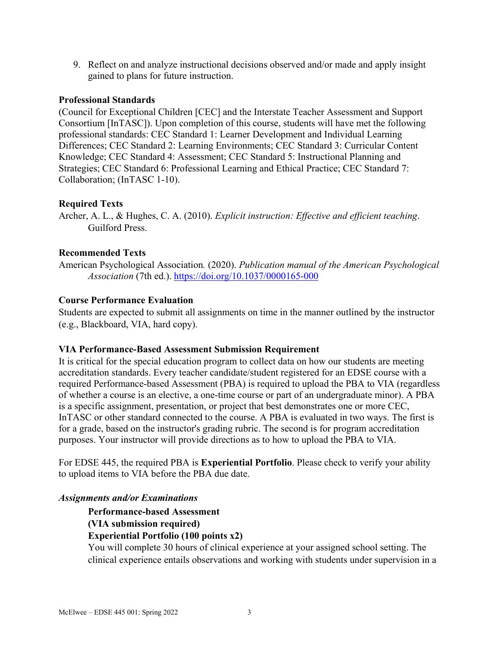9. Reflect on and analyze instructional decisions observed and/or made and apply insight gained to plans for future instruction.

#### **Professional Standards**

(Council for Exceptional Children [CEC] and the Interstate Teacher Assessment and Support Consortium [InTASC]). Upon completion of this course, students will have met the following professional standards: CEC Standard 1: Learner Development and Individual Learning Differences; CEC Standard 2: Learning Environments; CEC Standard 3: Curricular Content Knowledge; CEC Standard 4: Assessment; CEC Standard 5: Instructional Planning and Strategies; CEC Standard 6: Professional Learning and Ethical Practice; CEC Standard 7: Collaboration; (InTASC 1-10).

#### **Required Texts**

Archer, A. L., & Hughes, C. A. (2010). *Explicit instruction: Effective and efficient teaching*. Guilford Press.

### **Recommended Texts**

American Psychological Association*.* (2020). *Publication manual of the American Psychological Association* (7th ed.). <https://doi.org/10.1037/0000165-000>

#### **Course Performance Evaluation**

Students are expected to submit all assignments on time in the manner outlined by the instructor (e.g., Blackboard, VIA, hard copy).

#### **VIA Performance-Based Assessment Submission Requirement**

It is critical for the special education program to collect data on how our students are meeting accreditation standards. Every teacher candidate/student registered for an EDSE course with a required Performance-based Assessment (PBA) is required to upload the PBA to VIA (regardless of whether a course is an elective, a one-time course or part of an undergraduate minor). A PBA is a specific assignment, presentation, or project that best demonstrates one or more CEC, InTASC or other standard connected to the course. A PBA is evaluated in two ways. The first is for a grade, based on the instructor's grading rubric. The second is for program accreditation purposes. Your instructor will provide directions as to how to upload the PBA to VIA.

For EDSE 445, the required PBA is **Experiential Portfolio**. Please check to verify your ability to upload items to VIA before the PBA due date.

#### *Assignments and/or Examinations*

**Performance-based Assessment (VIA submission required) Experiential Portfolio (100 points x2)**

You will complete 30 hours of clinical experience at your assigned school setting. The clinical experience entails observations and working with students under supervision in a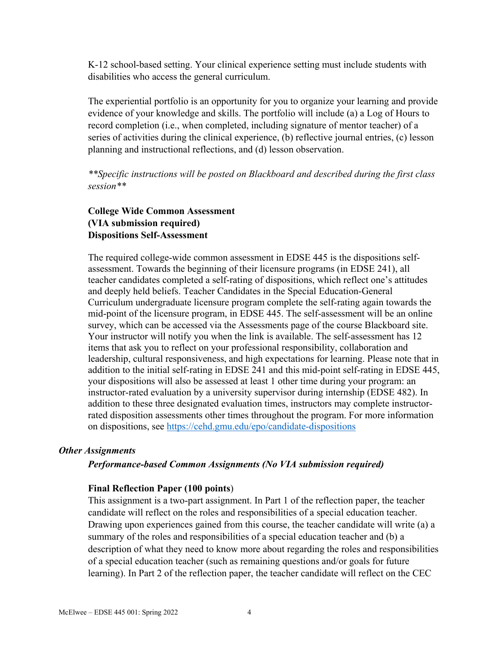K-12 school-based setting. Your clinical experience setting must include students with disabilities who access the general curriculum.

The experiential portfolio is an opportunity for you to organize your learning and provide evidence of your knowledge and skills. The portfolio will include (a) a Log of Hours to record completion (i.e., when completed, including signature of mentor teacher) of a series of activities during the clinical experience, (b) reflective journal entries, (c) lesson planning and instructional reflections, and (d) lesson observation.

*\*\*Specific instructions will be posted on Blackboard and described during the first class session\*\**

### **College Wide Common Assessment (VIA submission required) Dispositions Self-Assessment**

The required college-wide common assessment in EDSE 445 is the dispositions selfassessment. Towards the beginning of their licensure programs (in EDSE 241), all teacher candidates completed a self-rating of dispositions, which reflect one's attitudes and deeply held beliefs. Teacher Candidates in the Special Education-General Curriculum undergraduate licensure program complete the self-rating again towards the mid-point of the licensure program, in EDSE 445. The self-assessment will be an online survey, which can be accessed via the Assessments page of the course Blackboard site. Your instructor will notify you when the link is available. The self-assessment has 12 items that ask you to reflect on your professional responsibility, collaboration and leadership, cultural responsiveness, and high expectations for learning. Please note that in addition to the initial self-rating in EDSE 241 and this mid-point self-rating in EDSE 445, your dispositions will also be assessed at least 1 other time during your program: an instructor-rated evaluation by a university supervisor during internship (EDSE 482). In addition to these three designated evaluation times, instructors may complete instructorrated disposition assessments other times throughout the program. For more information on dispositions, see <https://cehd.gmu.edu/epo/candidate-dispositions>

#### *Other Assignments*

*Performance-based Common Assignments (No VIA submission required)*

#### **Final Reflection Paper (100 points**)

This assignment is a two-part assignment. In Part 1 of the reflection paper, the teacher candidate will reflect on the roles and responsibilities of a special education teacher. Drawing upon experiences gained from this course, the teacher candidate will write (a) a summary of the roles and responsibilities of a special education teacher and (b) a description of what they need to know more about regarding the roles and responsibilities of a special education teacher (such as remaining questions and/or goals for future learning). In Part 2 of the reflection paper, the teacher candidate will reflect on the CEC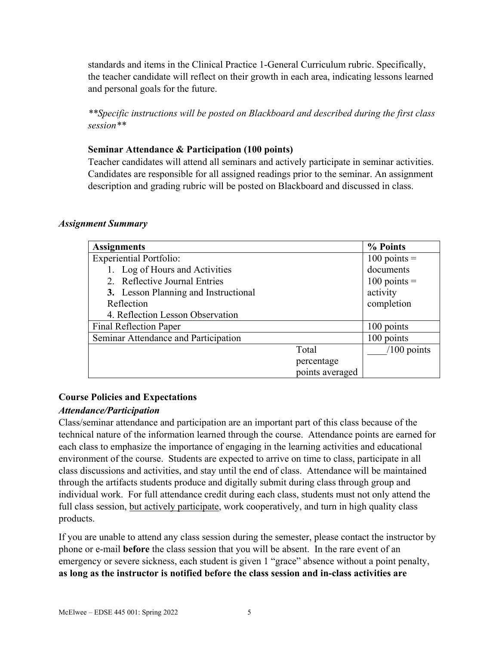standards and items in the Clinical Practice 1-General Curriculum rubric. Specifically, the teacher candidate will reflect on their growth in each area, indicating lessons learned and personal goals for the future.

*\*\*Specific instructions will be posted on Blackboard and described during the first class session\*\**

### **Seminar Attendance & Participation (100 points)**

Teacher candidates will attend all seminars and actively participate in seminar activities. Candidates are responsible for all assigned readings prior to the seminar. An assignment description and grading rubric will be posted on Blackboard and discussed in class.

#### *Assignment Summary*

| <b>Assignments</b>                   |                 | % Points       |
|--------------------------------------|-----------------|----------------|
| <b>Experiential Portfolio:</b>       |                 | $100$ points = |
| 1. Log of Hours and Activities       |                 | documents      |
| 2. Reflective Journal Entries        |                 | $100$ points = |
| 3. Lesson Planning and Instructional |                 | activity       |
| Reflection                           |                 | completion     |
| 4. Reflection Lesson Observation     |                 |                |
| <b>Final Reflection Paper</b>        |                 | 100 points     |
| Seminar Attendance and Participation |                 | 100 points     |
|                                      | Total           | $/100$ points  |
|                                      | percentage      |                |
|                                      | points averaged |                |

### **Course Policies and Expectations**

# *Attendance/Participation*

Class/seminar attendance and participation are an important part of this class because of the technical nature of the information learned through the course. Attendance points are earned for each class to emphasize the importance of engaging in the learning activities and educational environment of the course. Students are expected to arrive on time to class, participate in all class discussions and activities, and stay until the end of class. Attendance will be maintained through the artifacts students produce and digitally submit during class through group and individual work. For full attendance credit during each class, students must not only attend the full class session, but actively participate, work cooperatively, and turn in high quality class products.

If you are unable to attend any class session during the semester, please contact the instructor by phone or e-mail **before** the class session that you will be absent. In the rare event of an emergency or severe sickness, each student is given 1 "grace" absence without a point penalty, **as long as the instructor is notified before the class session and in-class activities are**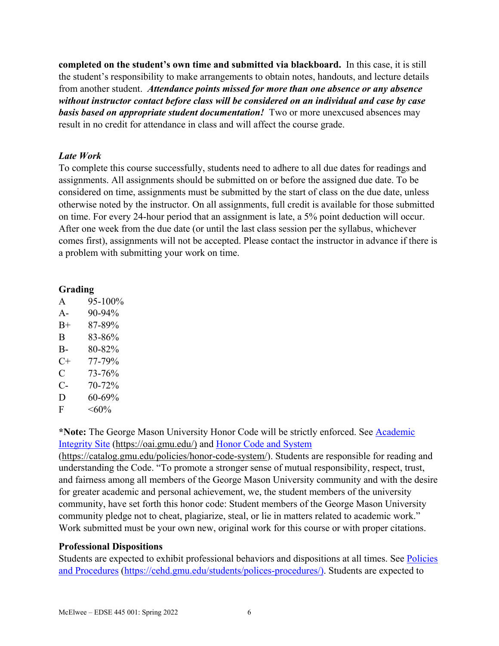**completed on the student's own time and submitted via blackboard.** In this case, it is still the student's responsibility to make arrangements to obtain notes, handouts, and lecture details from another student. *Attendance points missed for more than one absence or any absence without instructor contact before class will be considered on an individual and case by case basis based on appropriate student documentation!* Two or more unexcused absences may result in no credit for attendance in class and will affect the course grade.

### *Late Work*

To complete this course successfully, students need to adhere to all due dates for readings and assignments. All assignments should be submitted on or before the assigned due date. To be considered on time, assignments must be submitted by the start of class on the due date, unless otherwise noted by the instructor. On all assignments, full credit is available for those submitted on time. For every 24-hour period that an assignment is late, a 5% point deduction will occur. After one week from the due date (or until the last class session per the syllabus, whichever comes first), assignments will not be accepted. Please contact the instructor in advance if there is a problem with submitting your work on time.

#### **Grading**

| $\mathbf{A}$ | 95-100%       |
|--------------|---------------|
| $A -$        | $90 - 94\%$   |
| $B+$         | 87-89%        |
| B            | 83-86%        |
| B-           | 80-82%        |
| $C+$         | 77-79%        |
| C            | 73-76%        |
| $C-$         | 70-72%        |
| D            | 60-69%        |
| F            | $<\!\!60\!\%$ |

**\*Note:** The George Mason University Honor Code will be strictly enforced. See [Academic](https://oai.gmu.edu/)  [Integrity Site](https://oai.gmu.edu/) [\(https://oai.gmu.edu/\)](https://oai.gmu.edu/) and [Honor Code and System](https://catalog.gmu.edu/policies/honor-code-system/)

[\(https://catalog.gmu.edu/policies/honor-code-system/\)](https://catalog.gmu.edu/policies/honor-code-system/). Students are responsible for reading and understanding the Code. "To promote a stronger sense of mutual responsibility, respect, trust, and fairness among all members of the George Mason University community and with the desire for greater academic and personal achievement, we, the student members of the university community, have set forth this honor code: Student members of the George Mason University community pledge not to cheat, plagiarize, steal, or lie in matters related to academic work." Work submitted must be your own new, original work for this course or with proper citations.

### **Professional Dispositions**

Students are expected to exhibit professional behaviors and dispositions at all times. See [Policies](https://cehd.gmu.edu/students/polices-procedures/)  [and Procedures](https://cehd.gmu.edu/students/polices-procedures/) [\(https://cehd.gmu.edu/students/polices-procedures/\)](https://cehd.gmu.edu/students/polices-procedures/). Students are expected to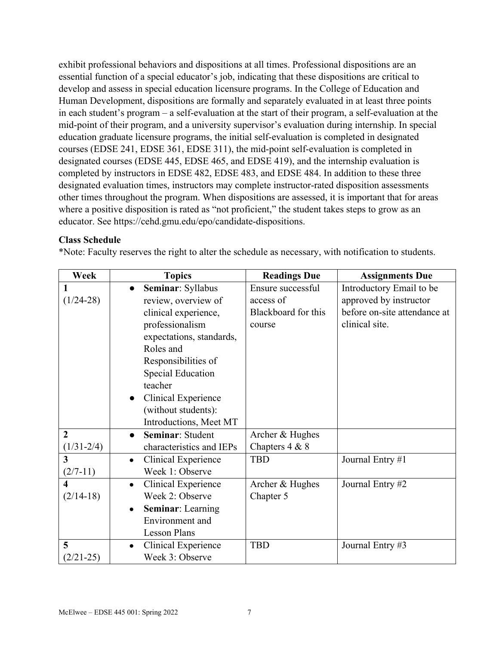exhibit professional behaviors and dispositions at all times. Professional dispositions are an essential function of a special educator's job, indicating that these dispositions are critical to develop and assess in special education licensure programs. In the College of Education and Human Development, dispositions are formally and separately evaluated in at least three points in each student's program – a self-evaluation at the start of their program, a self-evaluation at the mid-point of their program, and a university supervisor's evaluation during internship. In special education graduate licensure programs, the initial self-evaluation is completed in designated courses (EDSE 241, EDSE 361, EDSE 311), the mid-point self-evaluation is completed in designated courses (EDSE 445, EDSE 465, and EDSE 419), and the internship evaluation is completed by instructors in EDSE 482, EDSE 483, and EDSE 484. In addition to these three designated evaluation times, instructors may complete instructor-rated disposition assessments other times throughout the program. When dispositions are assessed, it is important that for areas where a positive disposition is rated as "not proficient," the student takes steps to grow as an educator. See https://cehd.gmu.edu/epo/candidate-dispositions.

### **Class Schedule**

\*Note: Faculty reserves the right to alter the schedule as necessary, with notification to students.

| Week                    | <b>Topics</b>                    | <b>Readings Due</b> | <b>Assignments Due</b>       |
|-------------------------|----------------------------------|---------------------|------------------------------|
| 1                       | Seminar: Syllabus<br>$\bullet$   | Ensure successful   | Introductory Email to be     |
| $(1/24-28)$             | review, overview of              | access of           | approved by instructor       |
|                         | clinical experience,             | Blackboard for this | before on-site attendance at |
|                         | professionalism                  | course              | clinical site.               |
|                         | expectations, standards,         |                     |                              |
|                         | Roles and                        |                     |                              |
|                         | Responsibilities of              |                     |                              |
|                         | <b>Special Education</b>         |                     |                              |
|                         | teacher                          |                     |                              |
|                         | <b>Clinical Experience</b>       |                     |                              |
|                         | (without students):              |                     |                              |
|                         | Introductions, Meet MT           |                     |                              |
| $\overline{2}$          | Seminar: Student<br>$\bullet$    | Archer & Hughes     |                              |
| $(1/31 - 2/4)$          | characteristics and IEPs         | Chapters 4 & 8      |                              |
| $\overline{\mathbf{3}}$ | Clinical Experience<br>$\bullet$ | <b>TBD</b>          | Journal Entry #1             |
| $(2/7-11)$              | Week 1: Observe                  |                     |                              |
| $\overline{\mathbf{4}}$ | Clinical Experience<br>$\bullet$ | Archer & Hughes     | Journal Entry #2             |
| $(2/14-18)$             | Week 2: Observe                  | Chapter 5           |                              |
|                         | <b>Seminar:</b> Learning         |                     |                              |
|                         | Environment and                  |                     |                              |
|                         | <b>Lesson Plans</b>              |                     |                              |
| 5                       | Clinical Experience              | <b>TBD</b>          | Journal Entry #3             |
| $(2/21-25)$             | Week 3: Observe                  |                     |                              |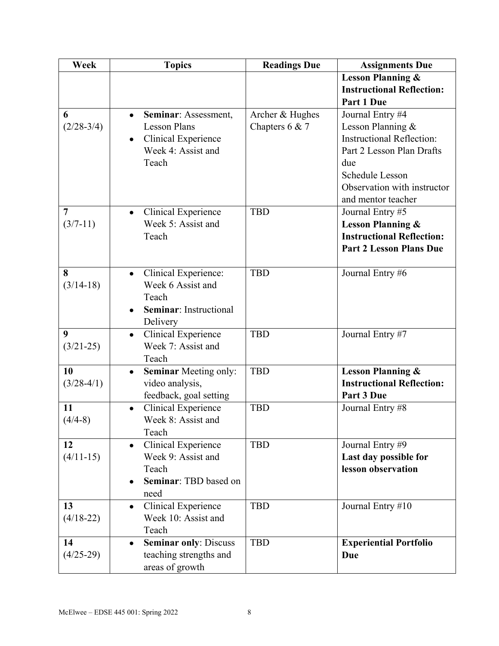| Week                         | <b>Topics</b>                                                                                                                      | <b>Readings Due</b>               | <b>Assignments Due</b>                                                                                                                                                                |
|------------------------------|------------------------------------------------------------------------------------------------------------------------------------|-----------------------------------|---------------------------------------------------------------------------------------------------------------------------------------------------------------------------------------|
|                              |                                                                                                                                    |                                   | <b>Lesson Planning &amp;</b>                                                                                                                                                          |
|                              |                                                                                                                                    |                                   | <b>Instructional Reflection:</b><br>Part 1 Due                                                                                                                                        |
| 6<br>$(2/28-3/4)$            | Seminar: Assessment,<br>$\bullet$<br><b>Lesson Plans</b><br><b>Clinical Experience</b><br>$\bullet$<br>Week 4: Assist and<br>Teach | Archer & Hughes<br>Chapters 6 & 7 | Journal Entry #4<br>Lesson Planning &<br><b>Instructional Reflection:</b><br>Part 2 Lesson Plan Drafts<br>due<br>Schedule Lesson<br>Observation with instructor<br>and mentor teacher |
| $\overline{7}$<br>$(3/7-11)$ | <b>Clinical Experience</b><br>$\bullet$<br>Week 5: Assist and<br>Teach                                                             | <b>TBD</b>                        | Journal Entry #5<br><b>Lesson Planning &amp;</b><br><b>Instructional Reflection:</b><br><b>Part 2 Lesson Plans Due</b>                                                                |
| 8<br>$(3/14-18)$             | Clinical Experience:<br>$\bullet$<br>Week 6 Assist and<br>Teach<br><b>Seminar:</b> Instructional<br>Delivery                       | <b>TBD</b>                        | Journal Entry #6                                                                                                                                                                      |
| 9<br>$(3/21-25)$             | <b>Clinical Experience</b><br>$\bullet$<br>Week 7: Assist and<br>Teach                                                             | <b>TBD</b>                        | Journal Entry #7                                                                                                                                                                      |
| 10<br>$(3/28-4/1)$           | <b>Seminar Meeting only:</b><br>video analysis,<br>feedback, goal setting                                                          | <b>TBD</b>                        | <b>Lesson Planning &amp;</b><br><b>Instructional Reflection:</b><br>Part 3 Due                                                                                                        |
| 11<br>$(4/4-8)$              | Clinical Experience<br>$\bullet$<br>Week 8: Assist and<br>Teach                                                                    | <b>TBD</b>                        | Journal Entry #8                                                                                                                                                                      |
| 12<br>$(4/11-15)$            | <b>Clinical Experience</b><br>Week 9: Assist and<br>Teach<br>Seminar: TBD based on<br>need                                         | <b>TBD</b>                        | Journal Entry #9<br>Last day possible for<br>lesson observation                                                                                                                       |
| 13<br>$(4/18-22)$            | <b>Clinical Experience</b><br>$\bullet$<br>Week 10: Assist and<br>Teach                                                            | <b>TBD</b>                        | Journal Entry #10                                                                                                                                                                     |
| 14<br>$(4/25-29)$            | <b>Seminar only: Discuss</b><br>teaching strengths and<br>areas of growth                                                          | <b>TBD</b>                        | <b>Experiential Portfolio</b><br>Due                                                                                                                                                  |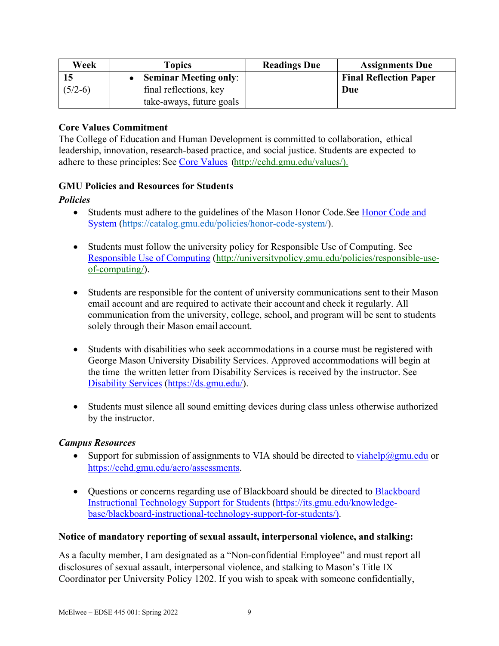| Week      | Topics                       | <b>Readings Due</b> | <b>Assignments Due</b>        |
|-----------|------------------------------|---------------------|-------------------------------|
|           | <b>Seminar Meeting only:</b> |                     | <b>Final Reflection Paper</b> |
| $(5/2-6)$ | final reflections, key       |                     | Due                           |
|           | take-aways, future goals     |                     |                               |

### **Core Values Commitment**

The College of Education and Human Development is committed to collaboration, ethical leadership, innovation, research-based practice, and social justice. Students are expected to adhere to these principles: See [Core Values](http://cehd.gmu.edu/values/) [\(http://cehd.gmu.edu/values/\)](http://cehd.gmu.edu/values/).

### **GMU Policies and Resources for Students**

### *Policies*

- Students must adhere to the guidelines of the Mason Honor Code. See Honor Code and [System](https://catalog.gmu.edu/policies/honor-code-system/) [\(https://catalog.gmu.edu/policies/honor-code-system/\)](https://catalog.gmu.edu/policies/honor-code-system/).
- Students must follow the university policy for Responsible Use of Computing. See [Responsible Use of Computing](http://universitypolicy.gmu.edu/policies/responsible-use-of-computing/) [\(http://universitypolicy.gmu.edu/policies/responsible-use](http://universitypolicy.gmu.edu/policies/responsible-use-of-computing/)[of-computing/\)](http://universitypolicy.gmu.edu/policies/responsible-use-of-computing/).
- Students are responsible for the content of university communications sent to their Mason email account and are required to activate their account and check it regularly. All communication from the university, college, school, and program will be sent to students solely through their Mason email account.
- Students with disabilities who seek accommodations in a course must be registered with George Mason University Disability Services. Approved accommodations will begin at the time the written letter from Disability Services is received by the instructor. See [Disability Services](https://ds.gmu.edu/) [\(https://ds.gmu.edu/\)](https://ds.gmu.edu/).
- Students must silence all sound emitting devices during class unless otherwise authorized by the instructor.

### *Campus Resources*

- Support for submission of assignments to VIA should be directed to  $v_i$  interaction or [https://cehd.gmu.edu/aero/assessments.](https://cehd.gmu.edu/aero/assessments)
- Questions or concerns regarding use of [Blackboard](https://its.gmu.edu/knowledge-base/blackboard-instructional-technology-support-for-students/) should be directed to **Blackboard** [Instructional Technology Support for Students](https://its.gmu.edu/knowledge-base/blackboard-instructional-technology-support-for-students/) [\(https://its.gmu.edu/knowledge](https://its.gmu.edu/knowledge-base/blackboard-instructional-technology-support-for-students/)[base/blackboard-instructional-technology-support-for-students/\)](https://its.gmu.edu/knowledge-base/blackboard-instructional-technology-support-for-students/).

### **Notice of mandatory reporting of sexual assault, interpersonal violence, and stalking:**

As a faculty member, I am designated as a "Non-confidential Employee" and must report all disclosures of sexual assault, interpersonal violence, and stalking to Mason's Title IX Coordinator per University Policy 1202. If you wish to speak with someone confidentially,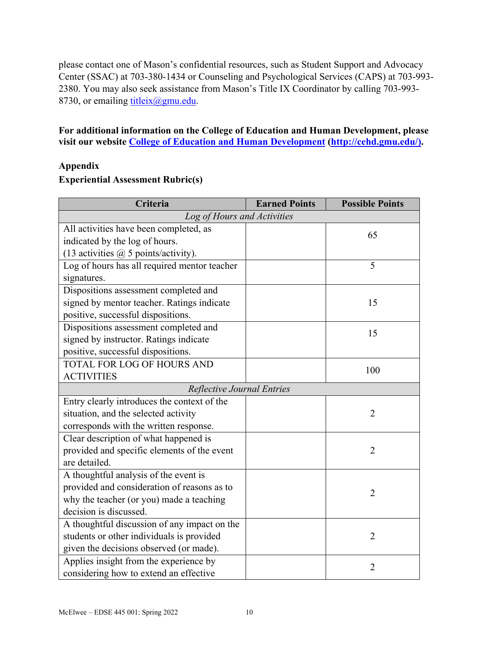please contact one of Mason's confidential resources, such as Student Support and Advocacy Center (SSAC) at 703-380-1434 or Counseling and Psychological Services (CAPS) at 703-993- 2380. You may also seek assistance from Mason's Title IX Coordinator by calling 703-993 8730, or emailing [titleix@gmu.edu.](mailto:titleix@gmu.edu)

### **For additional information on the College of Education and Human Development, please visit our website [College of Education and Human](http://cehd.gmu.edu/) Development [\(http://cehd.gmu.edu/\)](https://cehd.gmu.edu/).**

### **Appendix**

#### **Experiential Assessment Rubric(s)**

| Criteria                                     | <b>Earned Points</b> | <b>Possible Points</b> |  |
|----------------------------------------------|----------------------|------------------------|--|
| Log of Hours and Activities                  |                      |                        |  |
| All activities have been completed, as       |                      | 65                     |  |
| indicated by the log of hours.               |                      |                        |  |
| (13 activities $\omega$ 5 points/activity).  |                      |                        |  |
| Log of hours has all required mentor teacher |                      | 5                      |  |
| signatures.                                  |                      |                        |  |
| Dispositions assessment completed and        |                      |                        |  |
| signed by mentor teacher. Ratings indicate   |                      | 15                     |  |
| positive, successful dispositions.           |                      |                        |  |
| Dispositions assessment completed and        |                      | 15                     |  |
| signed by instructor. Ratings indicate       |                      |                        |  |
| positive, successful dispositions.           |                      |                        |  |
| <b>TOTAL FOR LOG OF HOURS AND</b>            |                      | 100                    |  |
| <b>ACTIVITIES</b>                            |                      |                        |  |
| Reflective Journal Entries                   |                      |                        |  |
| Entry clearly introduces the context of the  |                      |                        |  |
| situation, and the selected activity         |                      | $\overline{2}$         |  |
| corresponds with the written response.       |                      |                        |  |
| Clear description of what happened is        |                      |                        |  |
| provided and specific elements of the event  |                      | $\overline{2}$         |  |
| are detailed.                                |                      |                        |  |
| A thoughtful analysis of the event is        |                      |                        |  |
| provided and consideration of reasons as to  |                      | $\overline{2}$         |  |
| why the teacher (or you) made a teaching     |                      |                        |  |
| decision is discussed.                       |                      |                        |  |
| A thoughtful discussion of any impact on the |                      |                        |  |
| students or other individuals is provided    |                      | $\overline{2}$         |  |
| given the decisions observed (or made).      |                      |                        |  |
| Applies insight from the experience by       |                      | $\overline{2}$         |  |
| considering how to extend an effective       |                      |                        |  |